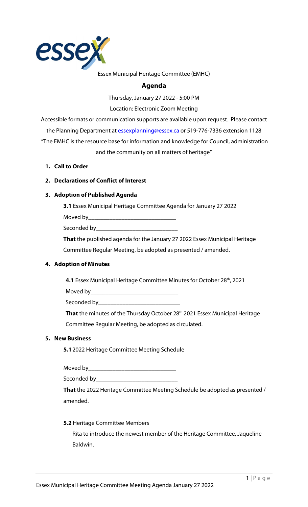

#### Essex Municipal Heritage Committee (EMHC)

# **Agenda**

Thursday, January 27 2022 - 5:00 PM

Location: Electronic Zoom Meeting

Accessible formats or communication supports are available upon request. Please contact the Planning Department a[t essexplanning@essex.ca](mailto:essexplanning@essex.ca) or 519-776-7336 extension 1128 "The EMHC is the resource base for information and knowledge for Council, administration and the community on all matters of heritage"

**1. Call to Order**

#### **2. Declarations of Conflict of Interest**

#### **3. Adoption of Published Agenda**

**3.1** Essex Municipal Heritage Committee Agenda for January 27 2022

Moved by\_\_\_\_\_

Seconded by\_

**That** the published agenda for the January 27 2022 Essex Municipal Heritage Committee Regular Meeting, be adopted as presented / amended.

#### **4. Adoption of Minutes**

**4.1** Essex Municipal Heritage Committee Minutes for October 28<sup>th</sup>, 2021

Moved by  $\_\_$ 

Seconded by\_

That the minutes of the Thursday October 28<sup>th</sup> 2021 Essex Municipal Heritage Committee Regular Meeting, be adopted as circulated.

#### **5. New Business**

**5.1**2022 Heritage Committee Meeting Schedule

Moved by\_\_\_\_\_\_\_\_\_\_\_\_\_\_\_\_\_\_\_\_\_\_\_\_\_\_\_\_\_

Seconded by\_\_\_\_\_\_\_\_\_\_\_\_\_\_\_\_\_\_\_\_\_\_\_\_\_\_\_

**That** the 2022 Heritage Committee Meeting Schedule be adopted as presented / amended.

#### **5.2** Heritage Committee Members

Rita to introduce the newest member of the Heritage Committee, Jaqueline Baldwin.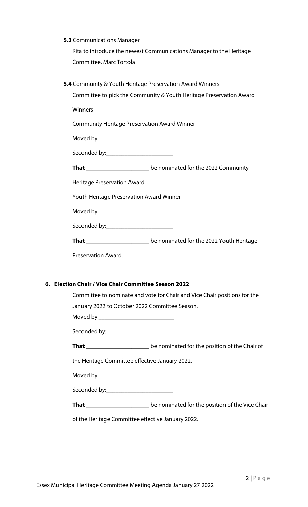#### **5.3** Communications Manager

Rita to introduce the newest Communications Manager to the Heritage Committee, Marc Tortola

**5.4** Community & Youth Heritage Preservation Award Winners

Committee to pick the Community & Youth Heritage Preservation Award

Winners

Community Heritage Preservation Award Winner

Moved by:\_\_\_\_\_\_\_\_\_\_\_\_\_\_\_\_\_\_\_\_\_\_\_\_\_

Seconded by:\_\_\_\_\_\_\_\_\_\_\_\_\_\_\_\_\_\_\_\_\_\_

**That** \_\_\_\_\_\_\_\_\_\_\_\_\_\_\_\_\_\_\_\_\_ be nominated for the 2022 Community

Heritage Preservation Award.

Youth Heritage Preservation Award Winner

Moved by:\_\_\_\_\_\_\_\_\_\_\_\_\_\_\_\_\_\_\_\_\_\_\_\_\_

Seconded by:\_\_\_\_\_\_\_\_\_\_\_\_\_\_\_\_\_\_\_\_\_\_

**That** \_\_\_\_\_\_\_\_\_\_\_\_\_\_\_\_\_\_\_\_\_ be nominated for the 2022 Youth Heritage

Preservation Award.

#### **6. Election Chair / Vice Chair Committee Season 2022**

| Committee to nominate and vote for Chair and Vice Chair positions for the              |  |  |  |  |  |  |  |  |
|----------------------------------------------------------------------------------------|--|--|--|--|--|--|--|--|
| January 2022 to October 2022 Committee Season.                                         |  |  |  |  |  |  |  |  |
|                                                                                        |  |  |  |  |  |  |  |  |
| Seconded by:_________________________                                                  |  |  |  |  |  |  |  |  |
| <b>That</b> _____________________________be nominated for the position of the Chair of |  |  |  |  |  |  |  |  |
| the Heritage Committee effective January 2022.                                         |  |  |  |  |  |  |  |  |
|                                                                                        |  |  |  |  |  |  |  |  |
| Seconded by: ___________________________                                               |  |  |  |  |  |  |  |  |
|                                                                                        |  |  |  |  |  |  |  |  |
| of the Heritage Committee effective January 2022.                                      |  |  |  |  |  |  |  |  |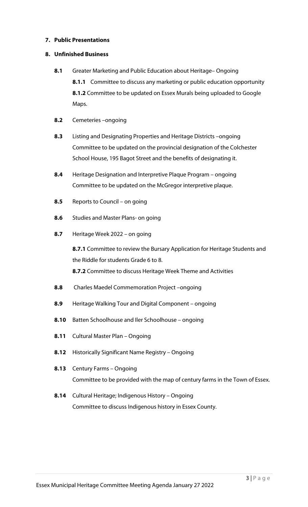#### **7. Public Presentations**

#### **8. Unfinished Business**

- **8.1** Greater Marketing and Public Education about Heritage– Ongoing **8.1.1** Committee to discuss any marketing or public education opportunity **8.1.2** Committee to be updated on Essex Murals being uploaded to Google Maps.
- **8.2** Cemeteries –ongoing
- **8.3** Listing and Designating Properties and Heritage Districts –ongoing Committee to be updated on the provincial designation of the Colchester School House, 195 Bagot Street and the benefits of designating it.
- **8.4** Heritage Designation and Interpretive Plaque Program ongoing Committee to be updated on the McGregor interpretive plaque.
- **8.5** Reports to Council on going
- **8.6** Studies and Master Plans- on going
- **8.7** Heritage Week 2022 on going

**8.7.1** Committee to review the Bursary Application for Heritage Students and the Riddle for students Grade 6 to 8. **8.7.2** Committee to discuss Heritage Week Theme and Activities

- **8.8** Charles Maedel Commemoration Project –ongoing
- **8.9** Heritage Walking Tour and Digital Component ongoing
- **8.10** Batten Schoolhouse and Iler Schoolhouse ongoing
- **8.11** Cultural Master Plan Ongoing
- **8.12** Historically Significant Name Registry Ongoing
- **8.13** Century Farms Ongoing Committee to be provided with the map of century farms in the Town of Essex.
- **8.14** Cultural Heritage; Indigenous History Ongoing Committee to discuss Indigenous history in Essex County.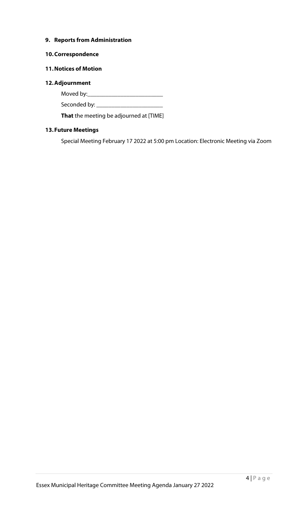#### **9. Reports from Administration**

#### **10.Correspondence**

### **11.Notices of Motion**

#### **12.Adjournment**

Moved by:\_\_\_\_\_\_\_\_\_\_\_\_\_\_\_\_\_\_\_\_\_\_\_\_\_

Seconded by: \_\_\_\_\_\_\_\_\_\_\_\_\_\_\_\_\_\_\_\_\_\_

**That** the meeting be adjourned at [TIME]

# **13.Future Meetings**

Special Meeting February 17 2022 at 5:00 pm Location: Electronic Meeting via Zoom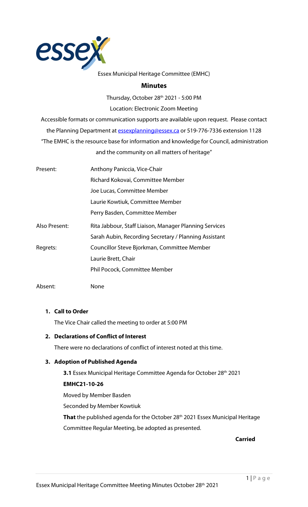

#### Essex Municipal Heritage Committee (EMHC)

#### **Minutes**

Thursday, October 28<sup>th</sup> 2021 - 5:00 PM

Location: Electronic Zoom Meeting

Accessible formats or communication supports are available upon request. Please contact the Planning Department a[t essexplanning@essex.ca](mailto:essexplanning@essex.ca) or 519-776-7336 extension 1128 "The EMHC is the resource base for information and knowledge for Council, administration and the community on all matters of heritage"

| Present:      | Anthony Paniccia, Vice-Chair                           |  |  |  |  |  |  |
|---------------|--------------------------------------------------------|--|--|--|--|--|--|
|               | Richard Kokovai, Committee Member                      |  |  |  |  |  |  |
|               | Joe Lucas, Committee Member                            |  |  |  |  |  |  |
|               | Laurie Kowtiuk, Committee Member                       |  |  |  |  |  |  |
|               | Perry Basden, Committee Member                         |  |  |  |  |  |  |
| Also Present: | Rita Jabbour, Staff Liaison, Manager Planning Services |  |  |  |  |  |  |
|               | Sarah Aubin, Recording Secretary / Planning Assistant  |  |  |  |  |  |  |
| Regrets:      | Councillor Steve Bjorkman, Committee Member            |  |  |  |  |  |  |
|               | Laurie Brett, Chair                                    |  |  |  |  |  |  |
|               | Phil Pocock, Committee Member                          |  |  |  |  |  |  |
|               |                                                        |  |  |  |  |  |  |

Absent: None

#### **1. Call to Order**

The Vice Chair called the meeting to order at 5:00 PM

#### **2. Declarations of Conflict of Interest**

There were no declarations of conflict of interest noted at this time.

#### **3. Adoption of Published Agenda**

**3.1** Essex Municipal Heritage Committee Agenda for October 28<sup>th</sup> 2021 **EMHC21-10-26**

Moved by Member Basden Seconded by Member Kowtiuk That the published agenda for the October 28<sup>th</sup> 2021 Essex Municipal Heritage Committee Regular Meeting, be adopted as presented.

**Carried**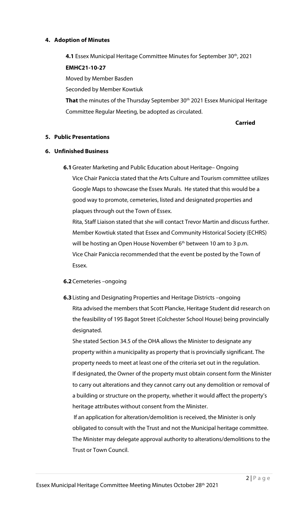#### **4. Adoption of Minutes**

**4.1** Essex Municipal Heritage Committee Minutes for September 30<sup>th</sup>, 2021 **EMHC21-10-27**

Moved by Member Basden

Seconded by Member Kowtiuk

That the minutes of the Thursday September 30<sup>th</sup> 2021 Essex Municipal Heritage Committee Regular Meeting, be adopted as circulated.

**Carried**

#### **5. Public Presentations**

### **6. Unfinished Business**

**6.1**Greater Marketing and Public Education about Heritage– Ongoing Vice Chair Paniccia stated that the Arts Culture and Tourism committee utilizes Google Maps to showcase the Essex Murals. He stated that this would be a good way to promote, cemeteries, listed and designated properties and plaques through out the Town of Essex.

Rita, Staff Liaison stated that she will contact Trevor Martin and discuss further. Member Kowtiuk stated that Essex and Community Historical Society (ECHRS) will be hosting an Open House November 6<sup>th</sup> between 10 am to 3 p.m. Vice Chair Paniccia recommended that the event be posted by the Town of Essex.

# **6.2**Cemeteries –ongoing

**6.3**Listing and Designating Properties and Heritage Districts –ongoing Rita advised the members that Scott Plancke, Heritage Student did research on the feasibility of 195 Bagot Street (Colchester School House) being provincially designated.

She stated Section 34.5 of the OHA allows the Minister to designate any property within a municipality as property that is provincially significant. The property needs to meet at least one of the criteria set out in the regulation. If designated, the Owner of the property must obtain consent form the Minister to carry out alterations and they cannot carry out any demolition or removal of a building or structure on the property, whether it would affect the property's heritage attributes without consent from the Minister.

If an application for alteration/demolition is received, the Minister is only obligated to consult with the Trust and not the Municipal heritage committee. The Minister may delegate approval authority to alterations/demolitions to the Trust or Town Council.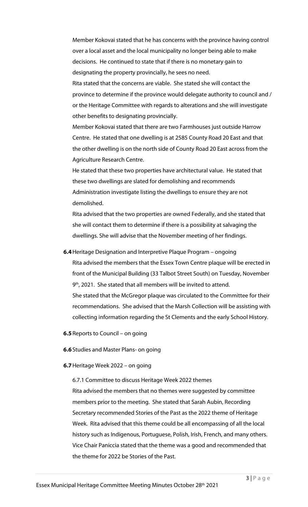Member Kokovai stated that he has concerns with the province having control over a local asset and the local municipality no longer being able to make decisions. He continued to state that if there is no monetary gain to designating the property provincially, he sees no need. Rita stated that the concerns are viable. She stated she will contact the province to determine if the province would delegate authority to council and / or the Heritage Committee with regards to alterations and she will investigate other benefits to designating provincially.

Member Kokovai stated that there are two Farmhouses just outside Harrow Centre. He stated that one dwelling is at 2585 County Road 20 East and that the other dwelling is on the north side of County Road 20 East across from the Agriculture Research Centre.

He stated that these two properties have architectural value. He stated that these two dwellings are slated for demolishing and recommends Administration investigate listing the dwellings to ensure they are not demolished.

Rita advised that the two properties are owned Federally, and she stated that she will contact them to determine if there is a possibility at salvaging the dwellings. She will advise that the November meeting of her findings.

**6.4**Heritage Designation and Interpretive Plaque Program – ongoing Rita advised the members that the Essex Town Centre plaque will be erected in front of the Municipal Building (33 Talbot Street South) on Tuesday, November

9<sup>th</sup>, 2021. She stated that all members will be invited to attend.

She stated that the McGregor plaque was circulated to the Committee for their recommendations. She advised that the Marsh Collection will be assisting with collecting information regarding the St Clements and the early School History.

**6.5**Reports to Council – on going

**6.6**Studies and Master Plans- on going

#### **6.7**Heritage Week 2022 – on going

6.7.1 Committee to discuss Heritage Week 2022 themes

Rita advised the members that no themes were suggested by committee members prior to the meeting. She stated that Sarah Aubin, Recording Secretary recommended Stories of the Past as the 2022 theme of Heritage Week. Rita advised that this theme could be all encompassing of all the local history such as Indigenous, Portuguese, Polish, Irish, French, and many others. Vice Chair Paniccia stated that the theme was a good and recommended that the theme for 2022 be Stories of the Past.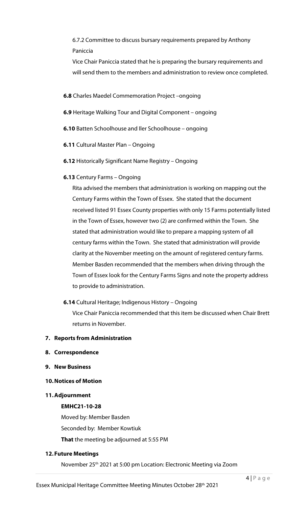6.7.2 Committee to discuss bursary requirements prepared by Anthony Paniccia

Vice Chair Paniccia stated that he is preparing the bursary requirements and will send them to the members and administration to review once completed.

**6.8** Charles Maedel Commemoration Project –ongoing

- **6.9** Heritage Walking Tour and Digital Component ongoing
- **6.10** Batten Schoolhouse and Iler Schoolhouse ongoing
- **6.11** Cultural Master Plan Ongoing
- **6.12** Historically Significant Name Registry Ongoing
- **6.13** Century Farms Ongoing

Rita advised the members that administration is working on mapping out the Century Farms within the Town of Essex. She stated that the document received listed 91 Essex County properties with only 15 Farms potentially listed in the Town of Essex, however two (2) are confirmed within the Town. She stated that administration would like to prepare a mapping system of all century farms within the Town. She stated that administration will provide clarity at the November meeting on the amount of registered century farms. Member Basden recommended that the members when driving through the Town of Essex look for the Century Farms Signs and note the property address to provide to administration.

**6.14** Cultural Heritage; Indigenous History – Ongoing

Vice Chair Paniccia recommended that this item be discussed when Chair Brett returns in November.

#### **7. Reports from Administration**

- **8. Correspondence**
- **9. New Business**
- **10.Notices of Motion**
- **11.Adjournment**

#### **EMHC21-10-28**

Moved by: Member Basden Seconded by: Member Kowtiuk **That** the meeting be adjourned at 5:55 PM

#### **12.Future Meetings**

November 25th 2021 at 5:00 pm Location: Electronic Meeting via Zoom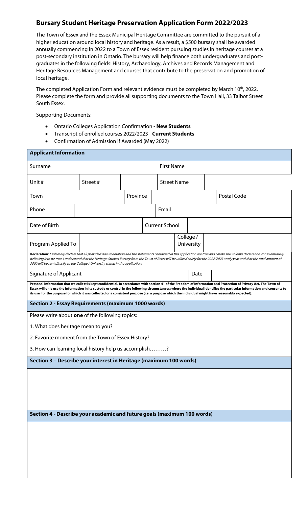# **Bursary Student Heritage Preservation Application Form 2022/2023**

The Town of Essex and the Essex Municipal Heritage Committee are committed to the pursuit of a higher education around local history and heritage. As a result, a \$500 bursary shall be awarded annually commencing in 2022 to a Town of Essex resident pursuing studies in heritage courses at a post-secondary institution in Ontario. The bursary will help finance both undergraduates and postgraduates in the following fields: History, Archaeology, Archives and Records Management and Heritage Resources Management and courses that contribute to the preservation and promotion of local heritage.

The completed Application Form and relevant evidence must be completed by March 10<sup>th</sup>, 2022. Please complete the form and provide all supporting documents to the Town Hall, 33 Talbot Street South Essex.

Supporting Documents:

- Ontario Colleges Application Confirmation **New Students**
- Transcript of enrolled courses 2022/2023 **Current Students**
- Confirmation of Admission if Awarded (May 2022)

| <b>Applicant Information</b>                                                                                                                                                                                                                                                                                                                                                                                                                                                                       |                               |  |                                                                    |                       |           |            |                    |      |  |             |  |  |
|----------------------------------------------------------------------------------------------------------------------------------------------------------------------------------------------------------------------------------------------------------------------------------------------------------------------------------------------------------------------------------------------------------------------------------------------------------------------------------------------------|-------------------------------|--|--------------------------------------------------------------------|-----------------------|-----------|------------|--------------------|------|--|-------------|--|--|
| Surname                                                                                                                                                                                                                                                                                                                                                                                                                                                                                            |                               |  |                                                                    |                       |           |            | <b>First Name</b>  |      |  |             |  |  |
| Unit #                                                                                                                                                                                                                                                                                                                                                                                                                                                                                             |                               |  | Street#                                                            |                       |           |            | <b>Street Name</b> |      |  |             |  |  |
| Town                                                                                                                                                                                                                                                                                                                                                                                                                                                                                               |                               |  |                                                                    | Province              |           |            |                    |      |  | Postal Code |  |  |
| Phone                                                                                                                                                                                                                                                                                                                                                                                                                                                                                              |                               |  |                                                                    | Email                 |           |            |                    |      |  |             |  |  |
| Date of Birth                                                                                                                                                                                                                                                                                                                                                                                                                                                                                      |                               |  |                                                                    | <b>Current School</b> |           |            |                    |      |  |             |  |  |
|                                                                                                                                                                                                                                                                                                                                                                                                                                                                                                    | Program Applied To            |  |                                                                    |                       | College / | University |                    |      |  |             |  |  |
| Declaration: I solemnly declare that all provided documentation and the statements contained in this application are true and I make this solemn declaration conscientiously<br>believing it to be true. I understand that the Heritage Studies Bursary from the Town of Essex will be utilized solely for the 2022/2023 study year and that the total amount of<br>\$500 will be sent directly to the College / University stated in the application.                                             |                               |  |                                                                    |                       |           |            |                    |      |  |             |  |  |
|                                                                                                                                                                                                                                                                                                                                                                                                                                                                                                    | <b>Signature of Applicant</b> |  |                                                                    |                       |           |            |                    | Date |  |             |  |  |
| Personal information that we collect is kept confidential. In accordance with section 41 of the Freedom of Information and Protection of Privacy Act, The Town of<br>Essex will only use the information in its custody or control in the following circumstances: where the individual identifies the particular information and consents to<br>its use; for the purpose for which it was collected or a consistent purpose (i.e. a purpose which the individual might have reasonably expected). |                               |  |                                                                    |                       |           |            |                    |      |  |             |  |  |
| <b>Section 2 - Essay Requirements (maximum 1000 words)</b>                                                                                                                                                                                                                                                                                                                                                                                                                                         |                               |  |                                                                    |                       |           |            |                    |      |  |             |  |  |
| Please write about one of the following topics:                                                                                                                                                                                                                                                                                                                                                                                                                                                    |                               |  |                                                                    |                       |           |            |                    |      |  |             |  |  |
| 1. What does heritage mean to you?                                                                                                                                                                                                                                                                                                                                                                                                                                                                 |                               |  |                                                                    |                       |           |            |                    |      |  |             |  |  |
|                                                                                                                                                                                                                                                                                                                                                                                                                                                                                                    |                               |  | 2. Favorite moment from the Town of Essex History?                 |                       |           |            |                    |      |  |             |  |  |
|                                                                                                                                                                                                                                                                                                                                                                                                                                                                                                    |                               |  | 3. How can learning local history help us accomplish?              |                       |           |            |                    |      |  |             |  |  |
|                                                                                                                                                                                                                                                                                                                                                                                                                                                                                                    |                               |  | Section 3 - Describe your interest in Heritage (maximum 100 words) |                       |           |            |                    |      |  |             |  |  |
|                                                                                                                                                                                                                                                                                                                                                                                                                                                                                                    |                               |  |                                                                    |                       |           |            |                    |      |  |             |  |  |
|                                                                                                                                                                                                                                                                                                                                                                                                                                                                                                    |                               |  |                                                                    |                       |           |            |                    |      |  |             |  |  |
|                                                                                                                                                                                                                                                                                                                                                                                                                                                                                                    |                               |  |                                                                    |                       |           |            |                    |      |  |             |  |  |
|                                                                                                                                                                                                                                                                                                                                                                                                                                                                                                    |                               |  |                                                                    |                       |           |            |                    |      |  |             |  |  |
| Section 4 - Describe your academic and future goals (maximum 100 words)                                                                                                                                                                                                                                                                                                                                                                                                                            |                               |  |                                                                    |                       |           |            |                    |      |  |             |  |  |
|                                                                                                                                                                                                                                                                                                                                                                                                                                                                                                    |                               |  |                                                                    |                       |           |            |                    |      |  |             |  |  |
|                                                                                                                                                                                                                                                                                                                                                                                                                                                                                                    |                               |  |                                                                    |                       |           |            |                    |      |  |             |  |  |
|                                                                                                                                                                                                                                                                                                                                                                                                                                                                                                    |                               |  |                                                                    |                       |           |            |                    |      |  |             |  |  |
|                                                                                                                                                                                                                                                                                                                                                                                                                                                                                                    |                               |  |                                                                    |                       |           |            |                    |      |  |             |  |  |
|                                                                                                                                                                                                                                                                                                                                                                                                                                                                                                    |                               |  |                                                                    |                       |           |            |                    |      |  |             |  |  |